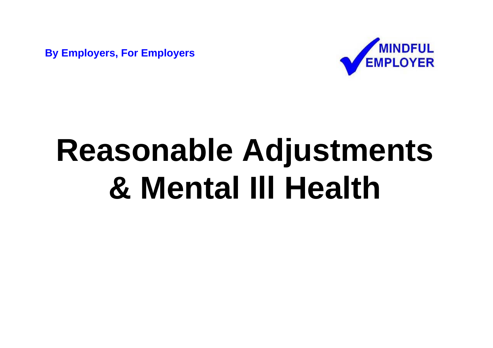**By Employers, For Employers**



# **Reasonable Adjustments & Mental Ill Health**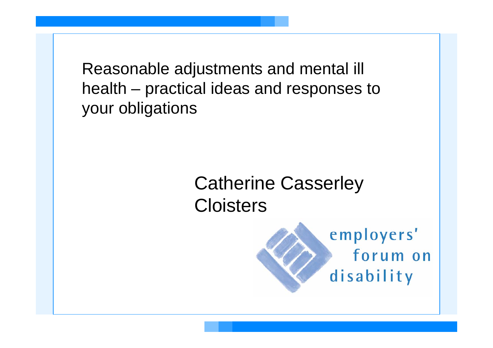Reasonable adjustments and mental ill health – practical ideas and responses to your obligations

## Catherine Casserley Cloisters

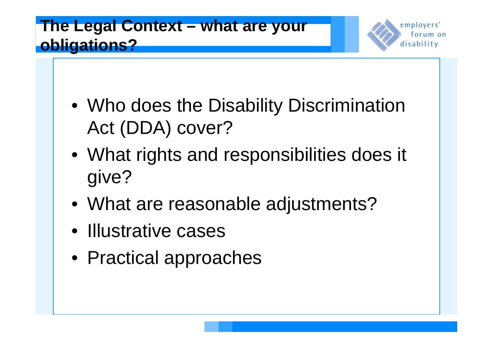#### **The Legal Context – what are your obligations?**

employers' torum on disability

- Who does the Disability Discrimination Act (DDA) cover?
- What rights and responsibilities does it give?
- What are reasonable adjustments?
- Illustrative cases
- Practical approaches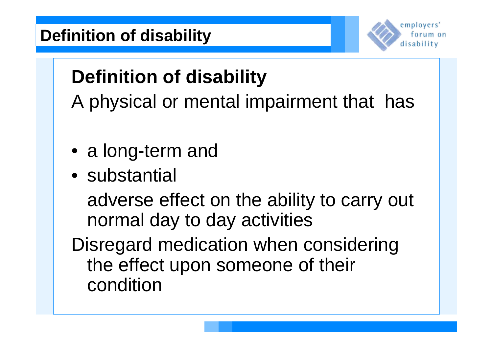

# **Definition of disability**

A physical or mental impairment that has

- a long-term and
- substantial

adverse effect on the ability to carry out normal day to day activities

Disregard medication when considering the effect upon someone of their condition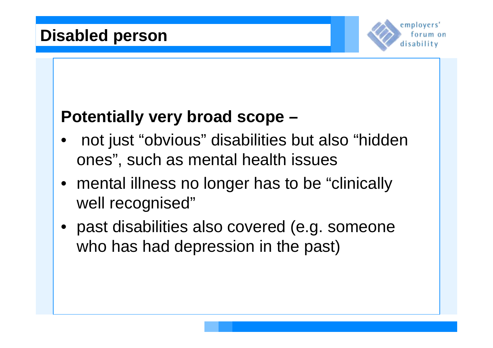

#### **Potentially very broad scope –**

- not just "obvious" disabilities but also "hidden ones", such as mental health issues
- mental illness no longer has to be "clinically" well recognised"
- past disabilities also covered (e.g. someone who has had depression in the past)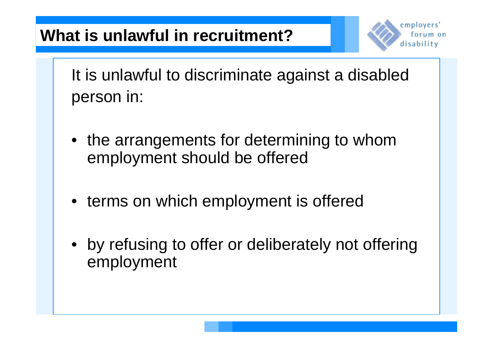

It is unlawful to discriminate against a disabled person in:

- the arrangements for determining to whom employment should be offered
- terms on which employment is offered
- by refusing to offer or deliberately not offering employment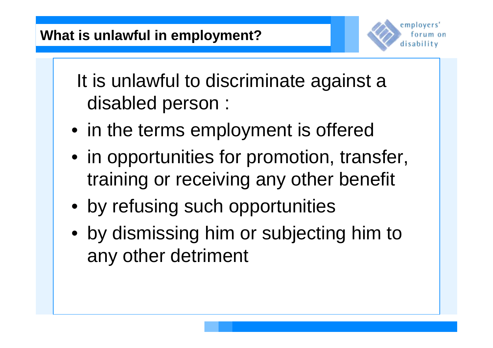

It is unlawful to discriminate against a disabled person :

- in the terms employment is offered
- in opportunities for promotion, transfer, training or receiving any other benefit
- by refusing such opportunities
- by dismissing him or subjecting him to any other detriment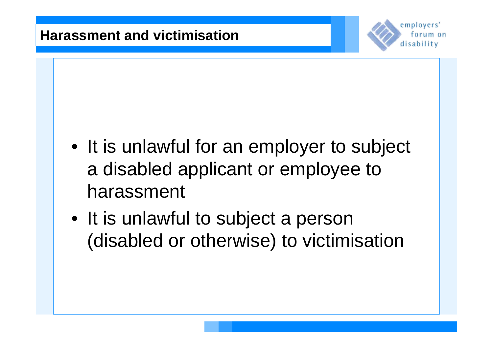

- It is unlawful for an employer to subject a disabled applicant or employee to harassment
- It is unlawful to subject a person (disabled or otherwise) to victimisation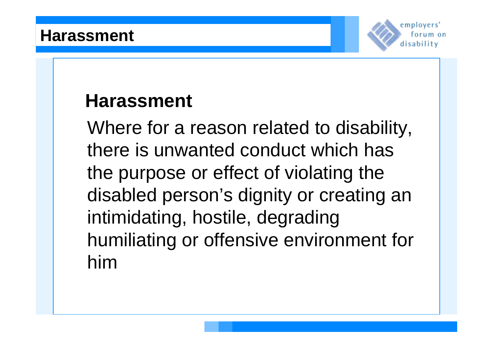

## **Harassment**

Where for a reason related to disability, there is unwanted conduct which has the purpose or effect of violating the disabled person's dignity or creating an intimidating, hostile, degrading humiliating or offensive environment for him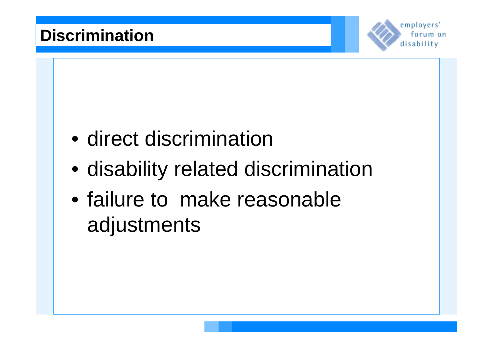

- direct discrimination
- disability related discrimination
- failure to make reasonable adjustments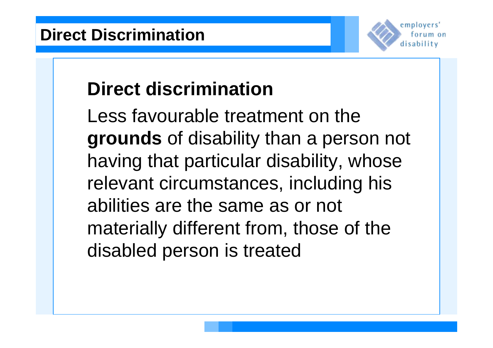

# **Direct discrimination**

Less favourable treatment on the **grounds** of disability than a person not having that particular disability, whose relevant circumstances, including his abilities are the same as or not materially different from, those of the disabled person is treated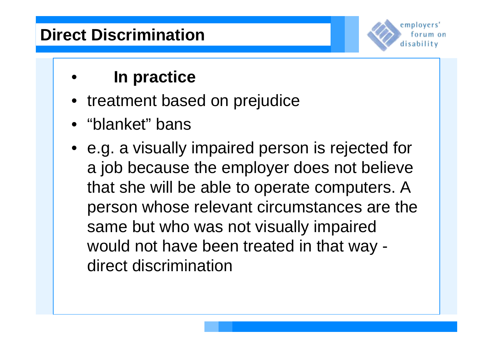### **Direct Discrimination**



#### • **In practice**

- treatment based on prejudice
- "blanket" bans
- e.g. a visually impaired person is rejected for a job because the employer does not believe that she will be able to operate computers. A person whose relevant circumstances are the same but who was not visually impaired would not have been treated in that way direct discrimination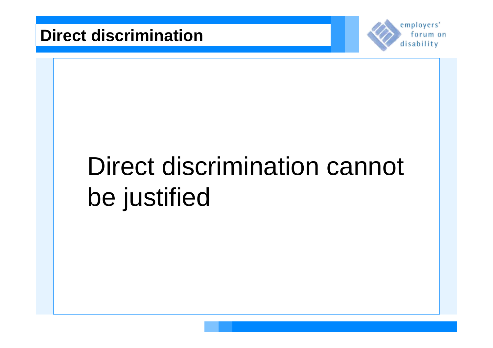

# Direct discrimination cannot be justified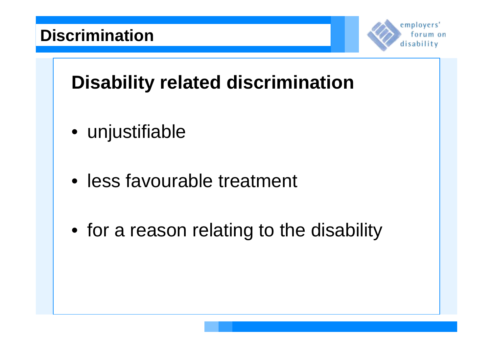

## **Disability related discrimination**

- unjustifiable
- less favourable treatment
- for a reason relating to the disability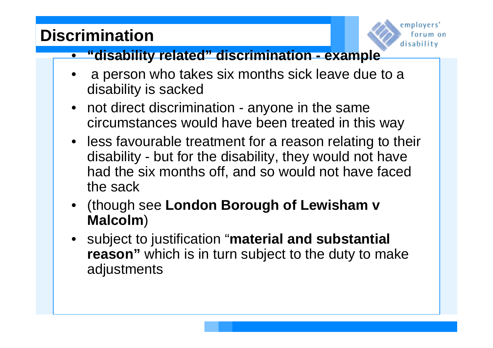### **Discrimination**



#### • **"disability related" discrimination - example**

- a person who takes six months sick leave due to a disability is sacked
- not direct discrimination anyone in the same circumstances would have been treated in this way
- less favourable treatment for a reason relating to their disability - but for the disability, they would not have had the six months off, and so would not have faced the sack
- (though see **London Borough of Lewisham v Malcolm**)
- subject to justification "**material and substantial reason**" which is in turn subject to the duty to make adjustments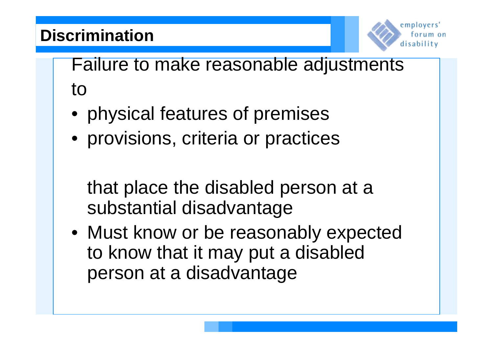### **Discrimination**



Failure to make reasonable adjustments to

- physical features of premises
- provisions, criteria or practices

that place the disabled person at a substantial disadvantage

• Must know or be reasonably expected to know that it may put a disabled person at a disadvantage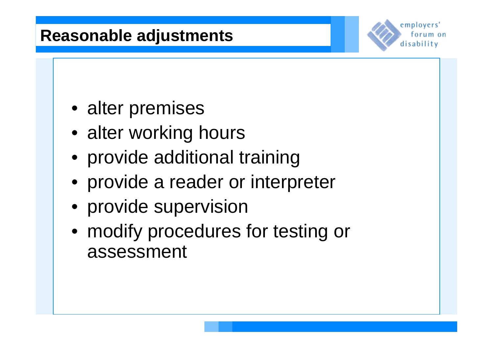#### **Reasonable adjustments**



- alter premises
- alter working hours
- provide additional training
- provide a reader or interpreter
- provide supervision
- modify procedures for testing or assessment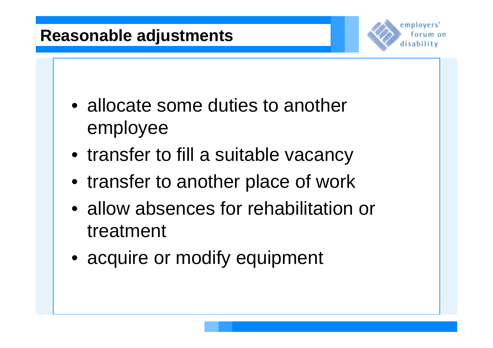#### **Reasonable adjustments**



- allocate some duties to another employee
- transfer to fill a suitable vacancy
- transfer to another place of work
- allow absences for rehabilitation or treatment
- acquire or modify equipment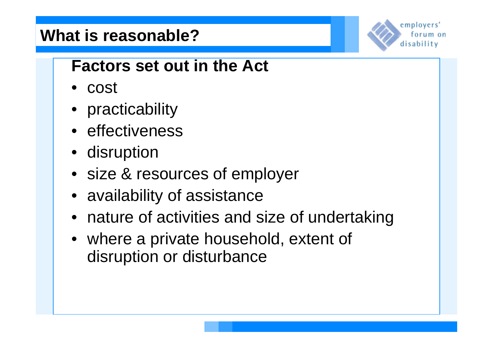#### **What is reasonable?**



#### **Factors set out in the Act**

- cost
- practicability
- effectiveness
- disruption
- size & resources of employer
- availability of assistance
- nature of activities and size of undertaking
- where a private household, extent of disruption or disturbance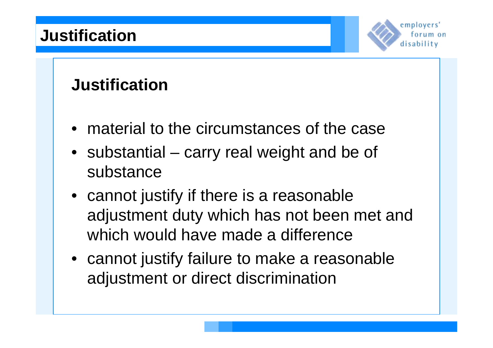

#### **Justification**

- material to the circumstances of the case
- substantial carry real weight and be of substance
- cannot justify if there is a reasonable adjustment duty which has not been met and which would have made a difference
- cannot justify failure to make a reasonable adjustment or direct discrimination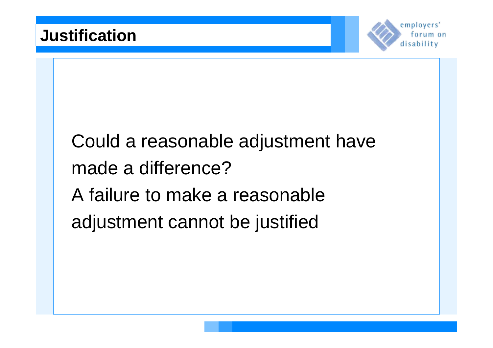

# Could a reasonable adjustment have made a difference? A failure to make a reasonable adjustment cannot be justified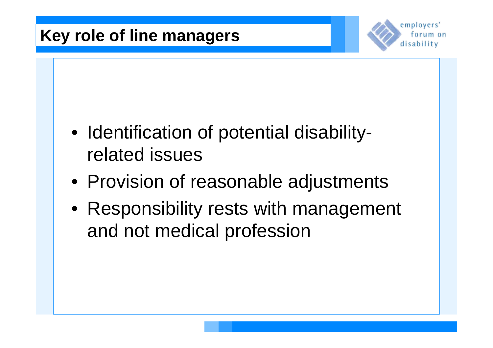

- Identification of potential disabilityrelated issues
- Provision of reasonable adjustments
- Responsibility rests with management and not medical profession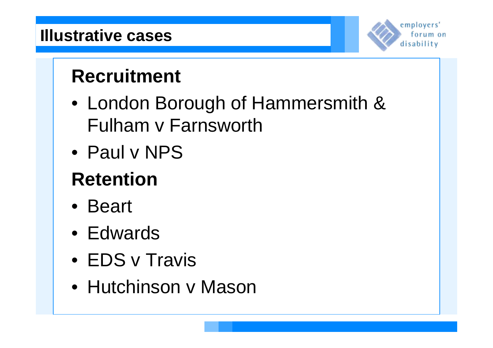

# **Recruitment**

- London Borough of Hammersmith & Fulham v Farnsworth
- Paul v NPS

# **Retention**

- Beart
- Edwards
- EDS v Travis
- Hutchinson v Mason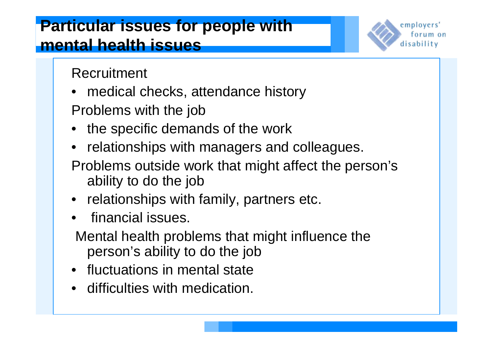employers' torum on disability

Recruitment

- medical checks, attendance history
- Problems with the job
- the specific demands of the work
- relationships with managers and colleagues.
- Problems outside work that might affect the person's ability to do the job
- relationships with family, partners etc.
- financial issues.
- Mental health problems that might influence the person's ability to do the job
- fluctuations in mental state
- difficulties with medication.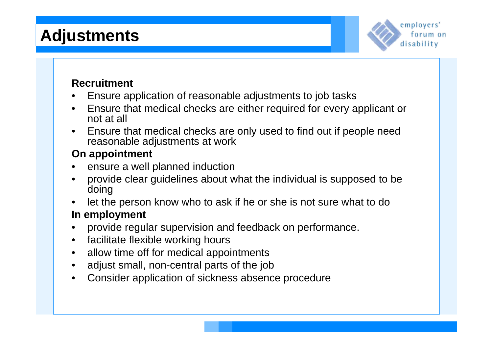#### **Adjustments**



#### **Recruitment**

- Ensure application of reasonable adjustments to job tasks
- Ensure that medical checks are either required for every applicant or not at all
- Ensure that medical checks are only used to find out if people need reasonable adjustments at work

#### **On appointment**

- ensure a well planned induction
- provide clear guidelines about what the individual is supposed to be doing
- let the person know who to ask if he or she is not sure what to do

#### **In employment**

- provide regular supervision and feedback on performance.
- facilitate flexible working hours
- allow time off for medical appointments
- adjust small, non-central parts of the job
- Consider application of sickness absence procedure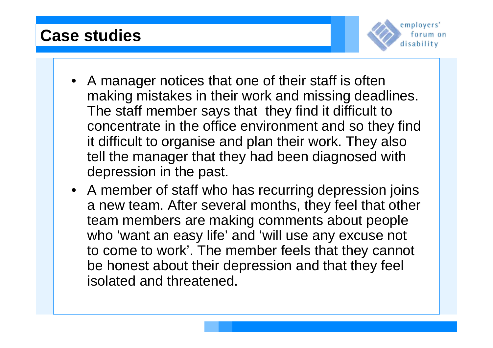#### **Case studies**



- A manager notices that one of their staff is often making mistakes in their work and missing deadlines. The staff member says that they find it difficult to concentrate in the office environment and so they find it difficult to organise and plan their work. They also tell the manager that they had been diagnosed with depression in the past.
- A member of staff who has recurring depression joins a new team. After several months, they feel that other team members are making comments about people who 'want an easy life' and 'will use any excuse not to come to work'. The member feels that they cannot be honest about their depression and that they feel isolated and threatened.